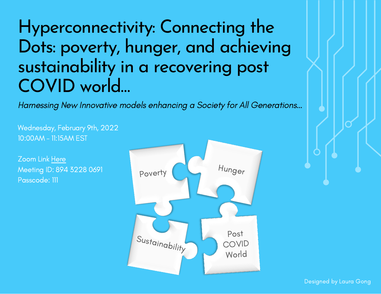# Hyperconnectivity: Connecting the Dots: poverty, hunger, and achieving sustainability in a recovering post COVID world…

Harnessing New Innovative models enhancing a Society for All Generations…

Wednesday, February 9th, 2022 10:00AM - 11:15AM EST

Zoom Link [Here](https://www.google.com/url?q=https://us06web.zoom.us/j/89432280691?pwd%3DdDBFNVoxZlN6aFMzWFQ3M1dTTEJJQT09&sa=D&source=calendar&ust=1643832096870904&usg=AOvVaw31FmnuZ8TutAHFxQ1cej41) Meeting ID: 894 3228 0691 Passcode: 111